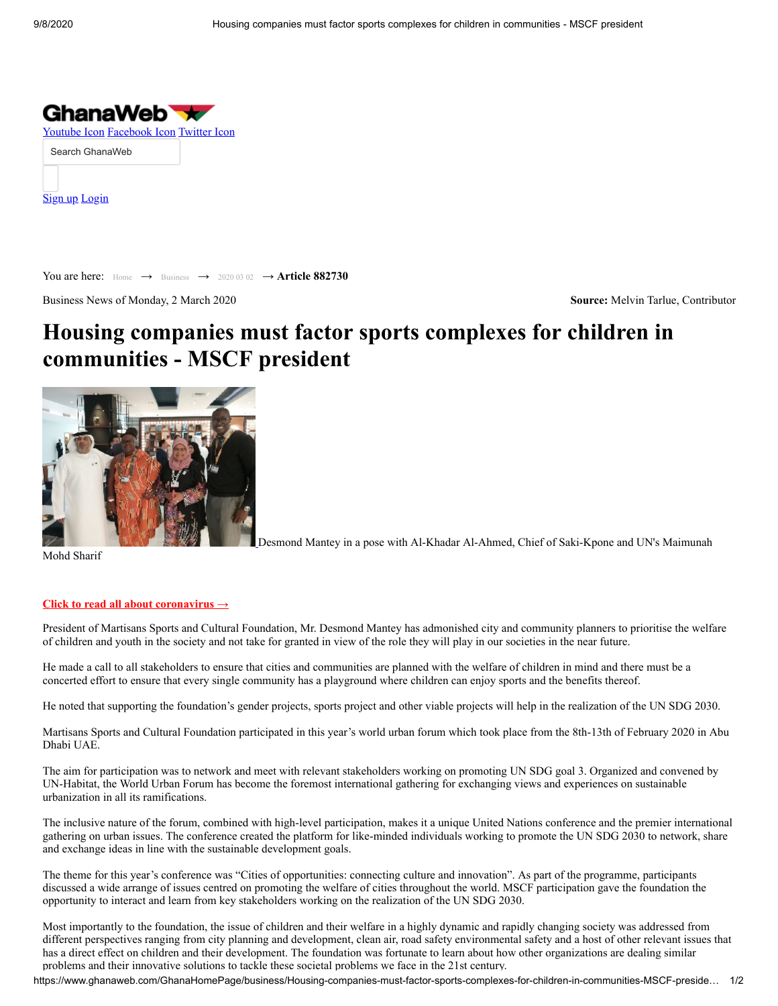

[Sign up](https://www.ghanaweb.com/wall/private/register.php) [Login](https://www.ghanaweb.com/wall/private/login.php)

You are here: [Home](https://www.ghanaweb.com/GhanaHomePage/) → [Business](https://www.ghanaweb.com/GhanaHomePage/business/) → [2020 03 02](https://www.ghanaweb.com/GhanaHomePage/business/browse.archive.php?date=20200302) → **Article 882730**

Business News of Monday, 2 March 2020 **Source:** Melvin Tarlue, Contributor

# **[Housing companies must factor sports complexes for children in](http://click.ghanawebimk.com/?id=7927&ref=https://www.investcorpgh.com/asset-management/) communities - MSCF president**



Mohd Sharif

Desmond Mantey in a pose with Al-Khadar Al-Ahmed, Chief of Saki-Kpone and UN's Maimunah

#### **[Click to read all about coronavirus →](https://www.ghanaweb.com/GhanaHomePage/coronavirus/)**

President of Martisans Sports and Cultural Foundation, Mr. Desmond Mantey has admonished city and community planners to prioritise the welfare of children and youth in the society and not take for granted in view of the role they will play in our societies in the near future.

He made a call to all stakeholders to ensure that cities and communities are planned with the welfare of children in mind and there must be a concerted effort to ensure that every single community has a playground where children can enjoy sports and the benefits thereof.

He noted that supporting the foundation's gender projects, sports project and other viable projects will help in the realization of the UN SDG 2030.

Martisans Sports and Cultural Foundation participated in this year's world urban forum which took place from the 8th-13th of February 2020 in Abu Dhabi UAE.

The aim for participation was to network and meet with relevant stakeholders working on promoting UN SDG goal 3. Organized and convened by UN-Habitat, the World Urban Forum has become the foremost international gathering for exchanging views and experiences on sustainable urbanization in all its ramifications.

The inclusive nature of the forum, combined with high-level participation, makes it a unique United Nations conference and the premier international gathering on urban issues. The conference created the platform for like-minded individuals working to promote the UN SDG 2030 to network, share and exchange ideas in line with the sustainable development goals.

The theme for this year's conference was "Cities of opportunities: connecting culture and innovation". As part of the programme, participants discussed a wide arrange of issues centred on promoting the welfare of cities throughout the world. MSCF participation gave the foundation the opportunity to interact and learn from key stakeholders working on the realization of the UN SDG 2030.

Most importantly to the foundation, the issue of children and their welfare in a highly dynamic and rapidly changing society was addressed from different perspectives ranging from city planning and development, clean air, road safety environmental safety and a host of other relevant issues that has a direct effect on children and their development. The foundation was fortunate to learn about how other organizations are dealing similar problems and their innovative solutions to tackle these societal problems we face in the 21st century.

https://www.ghanaweb.com/GhanaHomePage/business/Housing-companies-must-factor-sports-complexes-for-children-in-communities-MSCF-preside… 1/2